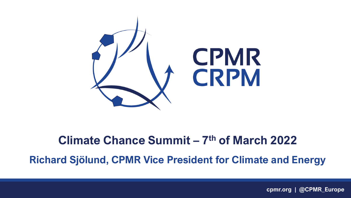

#### **Climate Chance Summit – 7 th of March 2022**

**Richard Sjölund, CPMR Vice President for Climate and Energy**

**cpmr.org | @CPMR\_Europe**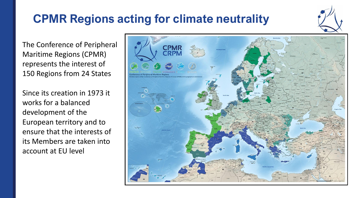## **CPMR Regions acting for climate neutrality**

The Conference of Peripheral Maritime Regions (CPMR) represents the interest of 150 Regions from 24 States

Since its creation in 1973 it works for a balanced development of the European territory and to ensure that the interests of its Members are taken into account at EU level

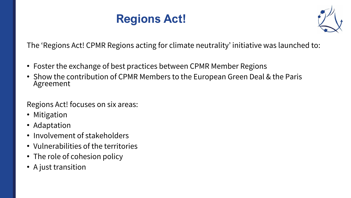## **Regions Act!**



The 'Regions Act! CPMR Regions acting for climate neutrality' initiative was launched to:

- Foster the exchange of best practices between CPMR Member Regions
- Show the contribution of CPMR Members to the European Green Deal & the Paris Agreement

Regions Act! focuses on six areas:

- Mitigation
- Adaptation
- Involvement of stakeholders
- Vulnerabilities of the territories
- The role of cohesion policy
- A just transition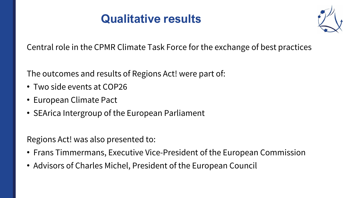### **Qualitative results**



Central role in the CPMR Climate Task Force for the exchange of best practices

The outcomes and results of Regions Act! were part of:

- Two side events at COP26
- European Climate Pact
- SEArica Intergroup of the European Parliament

Regions Act! was also presented to:

- Frans Timmermans, Executive Vice-President of the European Commission
- Advisors of Charles Michel, President of the European Council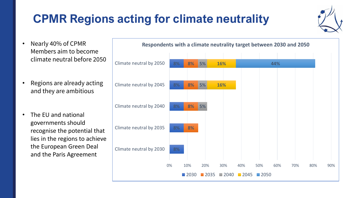# **CPMR Regions acting for climate neutrality**



- Nearly 40% of CPMR Members aim to become climate neutral before 2050
- Regions are already acting and they are ambitious
- The EU and national governments should recognise the potential that lies in the regions to achieve the European Green Deal and the Paris Agreement

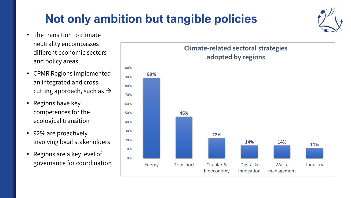# **Not only ambition but tangible policies**

- The transition to climate neutrality encompasses different economic sectors and policy areas
- CPMR Regions implemented an integrated and crosscutting approach, such as  $\rightarrow$
- Regions have key competences for the ecological transition
- 92% are proactively involving local stakeholders
- Regions are a key level of governance for coordination



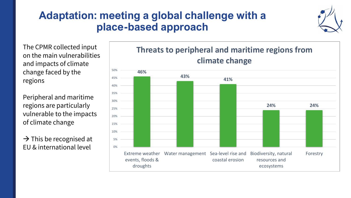#### **Adaptation: meeting a global challenge with a place-based approach**



The CPMR collected input on the main vulnerabilities and impacts of climate change faced by the regions

Peripheral and maritime regions are particularly vulnerable to the impacts of climate change

 $\rightarrow$  This be recognised at EU & international level



**Threats to peripheral and maritime regions from**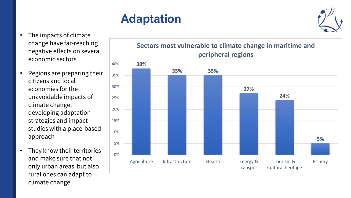# **Adaptation**

- The impacts of climate change have far-reaching negative effects on several economic sectors
- Regions are preparing their citizens and local economies for the unavoidable impacts of climate change, developing adaptation strategies and impact studies with a place-based approach
- They know their territories and make sure that not only urban areas but also rural ones can adapt to climate change



#### **Sectors most vulnerable to climate change in maritime and peripheral regions**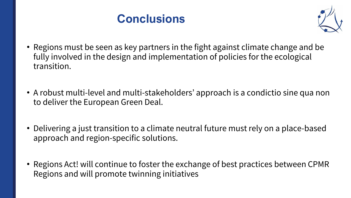



- Regions must be seen as key partners in the fight against climate change and be fully involved in the design and implementation of policies for the ecological transition.
- A robust multi-level and multi-stakeholders' approach is a condictio sine qua non to deliver the European Green Deal.
- Delivering a just transition to a climate neutral future must rely on a place-based approach and region-specific solutions.
- Regions Act! will continue to foster the exchange of best practices between CPMR Regions and will promote twinning initiatives